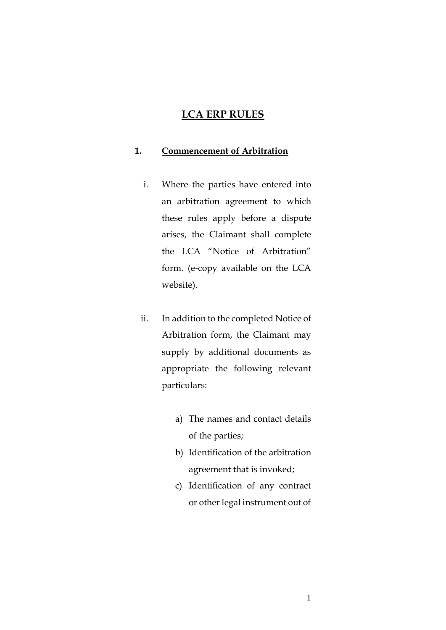# **LCA ERP RULES**

#### **1. Commencement of Arbitration**

- i. Where the parties have entered into an arbitration agreement to which these rules apply before a dispute arises, the Claimant shall complete the LCA "Notice of Arbitration" form. (e-copy available on the LCA website).
- ii. In addition to the completed Notice of Arbitration form, the Claimant may supply by additional documents as appropriate the following relevant particulars:
	- a) The names and contact details of the parties;
	- b) Identification of the arbitration agreement that is invoked;
	- c) Identification of any contract or other legal instrument out of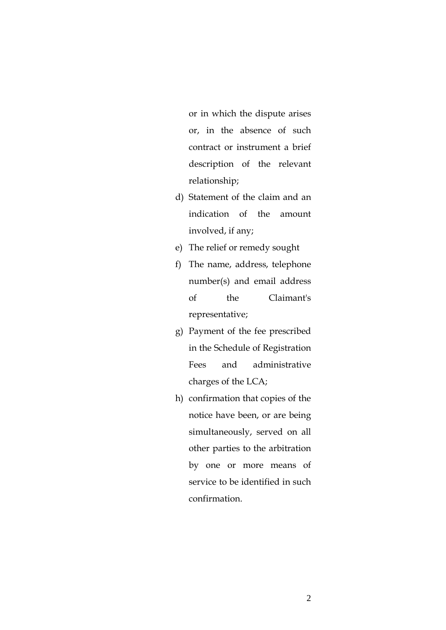or in which the dispute arises or, in the absence of such contract or instrument a brief description of the relevant relationship;

- d) Statement of the claim and an indication of the amount involved, if any;
- e) The relief or remedy sought
- f) The name, address, telephone number(s) and email address of the Claimant's representative;
- g) Payment of the fee prescribed in the Schedule of Registration Fees and administrative charges of the LCA;
- h) confirmation that copies of the notice have been, or are being simultaneously, served on all other parties to the arbitration by one or more means of service to be identified in such confirmation.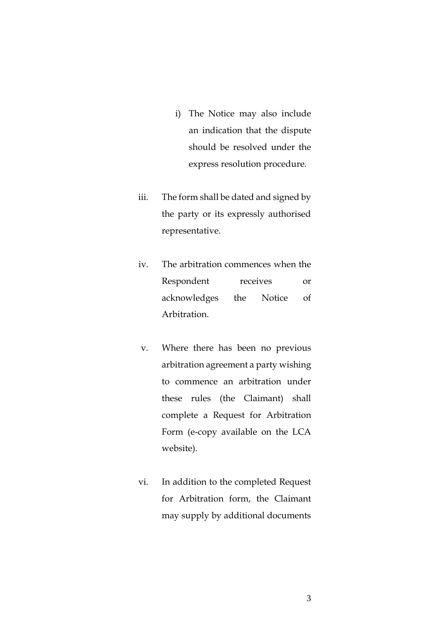- i) The Notice may also include an indication that the dispute should be resolved under the express resolution procedure.
- iii. The form shall be dated and signed by the party or its expressly authorised representative.
- iv. The arbitration commences when the Respondent receives or acknowledges the Notice of Arbitration.
- v. Where there has been no previous arbitration agreement a party wishing to commence an arbitration under these rules (the Claimant) shall complete a Request for Arbitration Form (e-copy available on the LCA website).
- vi. In addition to the completed Request for Arbitration form, the Claimant may supply by additional documents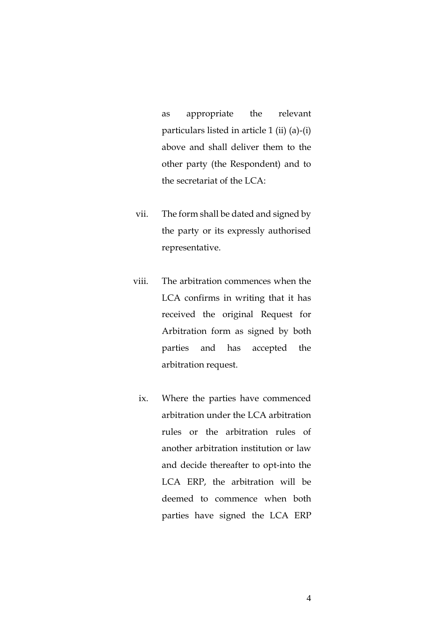as appropriate the relevant particulars listed in article 1 (ii) (a)-(i) above and shall deliver them to the other party (the Respondent) and to the secretariat of the LCA:

- vii. The form shall be dated and signed by the party or its expressly authorised representative.
- viii. The arbitration commences when the LCA confirms in writing that it has received the original Request for Arbitration form as signed by both parties and has accepted the arbitration request.
	- ix. Where the parties have commenced arbitration under the LCA arbitration rules or the arbitration rules of another arbitration institution or law and decide thereafter to opt-into the LCA ERP, the arbitration will be deemed to commence when both parties have signed the LCA ERP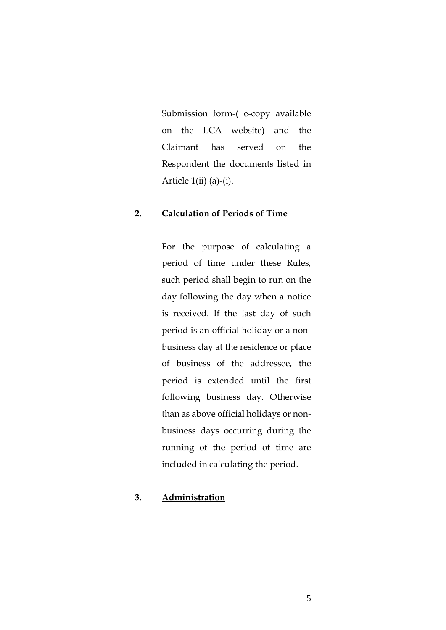Submission form-( e-copy available on the LCA website) and the Claimant has served on the Respondent the documents listed in Article  $1(i)$  (a)-(i).

#### **2. Calculation of Periods of Time**

For the purpose of calculating a period of time under these Rules, such period shall begin to run on the day following the day when a notice is received. If the last day of such period is an official holiday or a nonbusiness day at the residence or place of business of the addressee, the period is extended until the first following business day. Otherwise than as above official holidays or nonbusiness days occurring during the running of the period of time are included in calculating the period.

#### **3. Administration**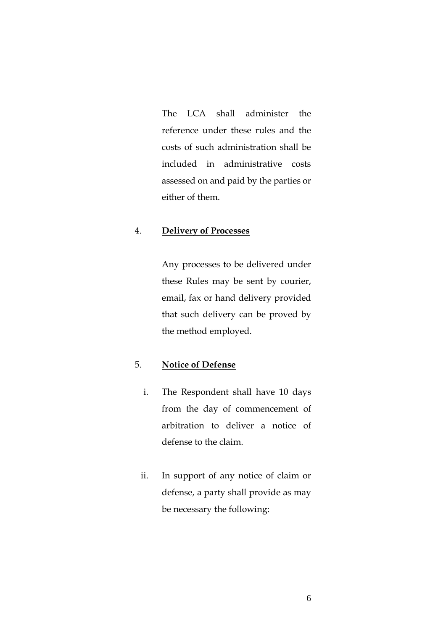The LCA shall administer the reference under these rules and the costs of such administration shall be included in administrative costs assessed on and paid by the parties or either of them.

#### 4. **Delivery of Processes**

Any processes to be delivered under these Rules may be sent by courier, email, fax or hand delivery provided that such delivery can be proved by the method employed.

#### 5. **Notice of Defense**

- i. The Respondent shall have 10 days from the day of commencement of arbitration to deliver a notice of defense to the claim.
- ii. In support of any notice of claim or defense, a party shall provide as may be necessary the following: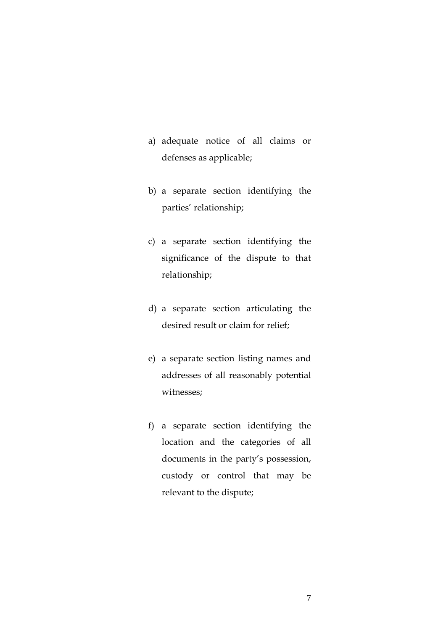- a) adequate notice of all claims or defenses as applicable;
- b) a separate section identifying the parties' relationship;
- c) a separate section identifying the significance of the dispute to that relationship;
- d) a separate section articulating the desired result or claim for relief;
- e) a separate section listing names and addresses of all reasonably potential witnesses;
- f) a separate section identifying the location and the categories of all documents in the party's possession, custody or control that may be relevant to the dispute;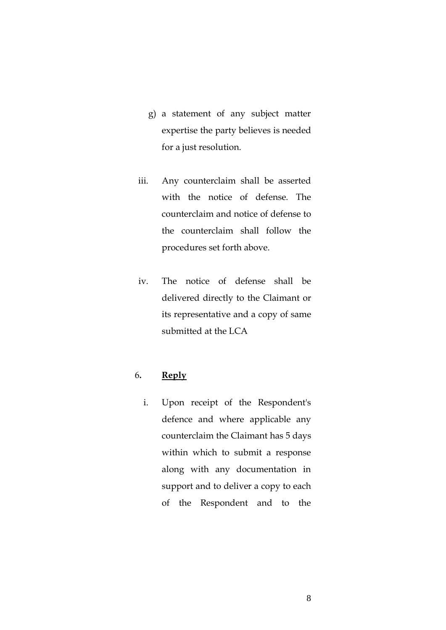- g) a statement of any subject matter expertise the party believes is needed for a just resolution.
- iii. Any counterclaim shall be asserted with the notice of defense. The counterclaim and notice of defense to the counterclaim shall follow the procedures set forth above.
- iv. The notice of defense shall be delivered directly to the Claimant or its representative and a copy of same submitted at the LCA

### 6**. Reply**

i. Upon receipt of the Respondent's defence and where applicable any counterclaim the Claimant has 5 days within which to submit a response along with any documentation in support and to deliver a copy to each of the Respondent and to the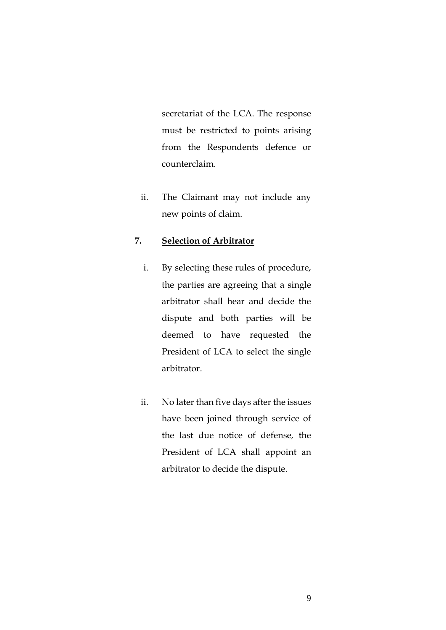secretariat of the LCA. The response must be restricted to points arising from the Respondents defence or counterclaim.

ii. The Claimant may not include any new points of claim.

#### **7. Selection of Arbitrator**

- i. By selecting these rules of procedure, the parties are agreeing that a single arbitrator shall hear and decide the dispute and both parties will be deemed to have requested the President of LCA to select the single arbitrator.
- ii. No later than five days after the issues have been joined through service of the last due notice of defense, the President of LCA shall appoint an arbitrator to decide the dispute.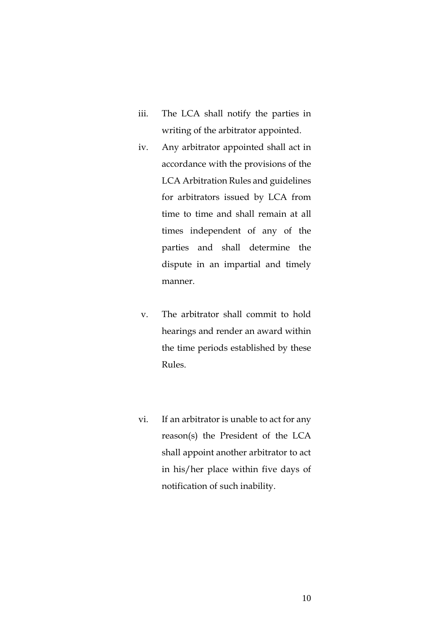- iii. The LCA shall notify the parties in writing of the arbitrator appointed.
- iv. Any arbitrator appointed shall act in accordance with the provisions of the LCA Arbitration Rules and guidelines for arbitrators issued by LCA from time to time and shall remain at all times independent of any of the parties and shall determine the dispute in an impartial and timely manner.
- v. The arbitrator shall commit to hold hearings and render an award within the time periods established by these Rules.
- vi. If an arbitrator is unable to act for any reason(s) the President of the LCA shall appoint another arbitrator to act in his/her place within five days of notification of such inability.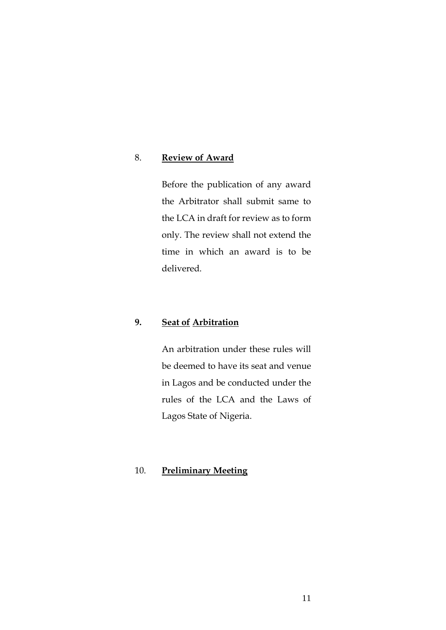# 8. **Review of Award**

Before the publication of any award the Arbitrator shall submit same to the LCA in draft for review as to form only. The review shall not extend the time in which an award is to be delivered.

## **9. Seat of Arbitration**

An arbitration under these rules will be deemed to have its seat and venue in Lagos and be conducted under the rules of the LCA and the Laws of Lagos State of Nigeria.

# 10. **Preliminary Meeting**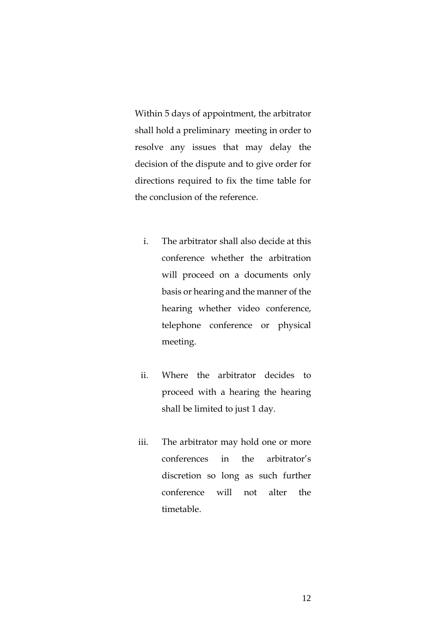Within 5 days of appointment, the arbitrator shall hold a preliminary meeting in order to resolve any issues that may delay the decision of the dispute and to give order for directions required to fix the time table for the conclusion of the reference.

- i. The arbitrator shall also decide at this conference whether the arbitration will proceed on a documents only basis or hearing and the manner of the hearing whether video conference, telephone conference or physical meeting.
- ii. Where the arbitrator decides to proceed with a hearing the hearing shall be limited to just 1 day.
- iii. The arbitrator may hold one or more conferences in the arbitrator's discretion so long as such further conference will not alter the timetable.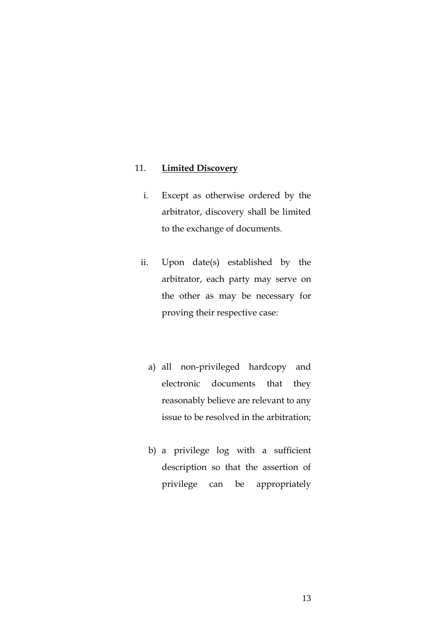#### 11. **Limited Discovery**

- i. Except as otherwise ordered by the arbitrator, discovery shall be limited to the exchange of documents.
- ii. Upon date(s) established by the arbitrator, each party may serve on the other as may be necessary for proving their respective case:
	- a) all non-privileged hardcopy and electronic documents that they reasonably believe are relevant to any issue to be resolved in the arbitration;
	- b) a privilege log with a sufficient description so that the assertion of privilege can be appropriately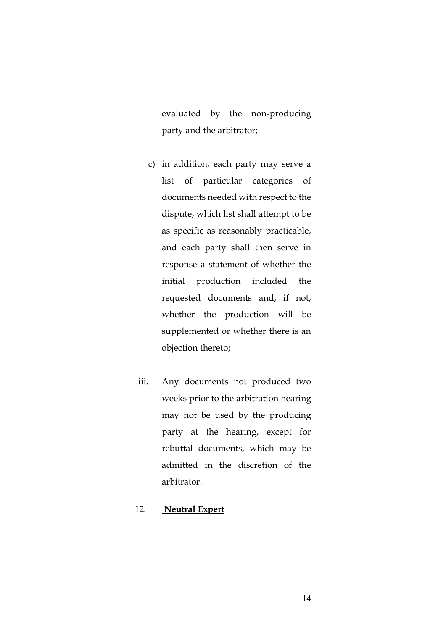evaluated by the non-producing party and the arbitrator;

- c) in addition, each party may serve a list of particular categories of documents needed with respect to the dispute, which list shall attempt to be as specific as reasonably practicable, and each party shall then serve in response a statement of whether the initial production included the requested documents and, if not, whether the production will be supplemented or whether there is an objection thereto;
- iii. Any documents not produced two weeks prior to the arbitration hearing may not be used by the producing party at the hearing, except for rebuttal documents, which may be admitted in the discretion of the arbitrator.

#### 12. **Neutral Expert**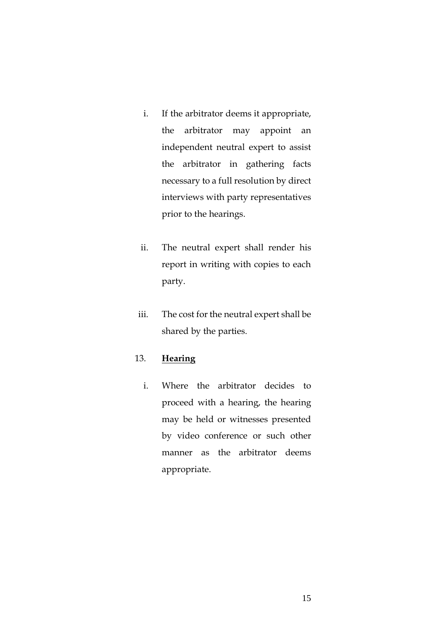- i. If the arbitrator deems it appropriate, the arbitrator may appoint an independent neutral expert to assist the arbitrator in gathering facts necessary to a full resolution by direct interviews with party representatives prior to the hearings.
- ii. The neutral expert shall render his report in writing with copies to each party.
- iii. The cost for the neutral expert shall be shared by the parties.

# 13. **Hearing**

i. Where the arbitrator decides to proceed with a hearing, the hearing may be held or witnesses presented by video conference or such other manner as the arbitrator deems appropriate.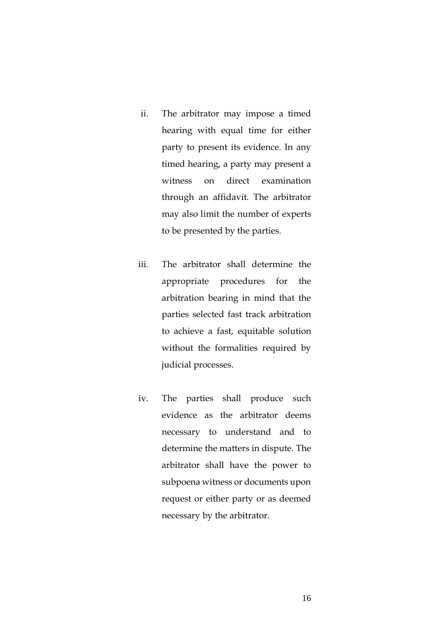- ii. The arbitrator may impose a timed hearing with equal time for either party to present its evidence. In any timed hearing, a party may present a witness on direct examination through an affidavit. The arbitrator may also limit the number of experts to be presented by the parties.
- iii. The arbitrator shall determine the appropriate procedures for the arbitration bearing in mind that the parties selected fast track arbitration to achieve a fast, equitable solution without the formalities required by judicial processes.
- iv. The parties shall produce such evidence as the arbitrator deems necessary to understand and to determine the matters in dispute. The arbitrator shall have the power to subpoena witness or documents upon request or either party or as deemed necessary by the arbitrator.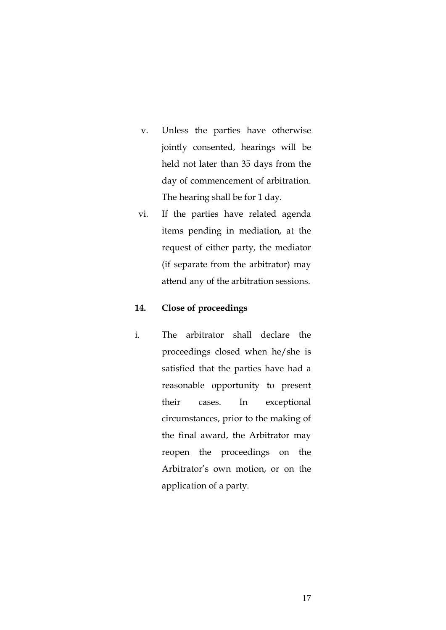- v. Unless the parties have otherwise jointly consented, hearings will be held not later than 35 days from the day of commencement of arbitration. The hearing shall be for 1 day.
- vi. If the parties have related agenda items pending in mediation, at the request of either party, the mediator (if separate from the arbitrator) may attend any of the arbitration sessions.

#### **14. Close of proceedings**

i. The arbitrator shall declare the proceedings closed when he/she is satisfied that the parties have had a reasonable opportunity to present their cases. In exceptional circumstances, prior to the making of the final award, the Arbitrator may reopen the proceedings on the Arbitrator's own motion, or on the application of a party.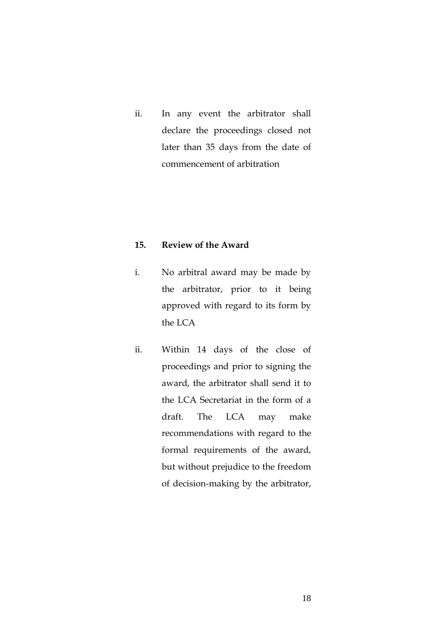ii. In any event the arbitrator shall declare the proceedings closed not later than 35 days from the date of commencement of arbitration

#### **15. Review of the Award**

- i. No arbitral award may be made by the arbitrator, prior to it being approved with regard to its form by the LCA
- ii. Within 14 days of the close of proceedings and prior to signing the award, the arbitrator shall send it to the LCA Secretariat in the form of a draft. The LCA may make recommendations with regard to the formal requirements of the award, but without prejudice to the freedom of decision-making by the arbitrator,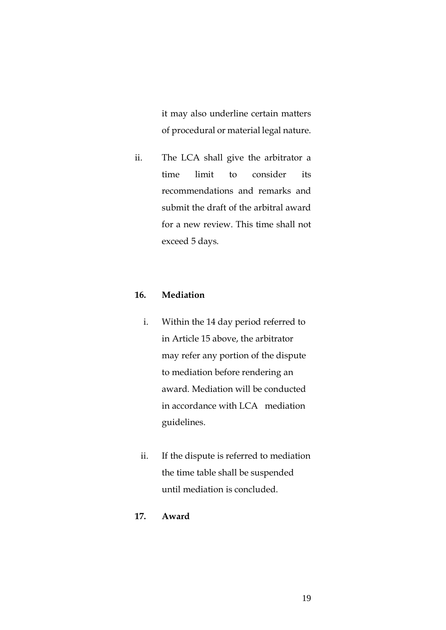it may also underline certain matters of procedural or material legal nature.

ii. The LCA shall give the arbitrator a time limit to consider its recommendations and remarks and submit the draft of the arbitral award for a new review. This time shall not exceed 5 days.

#### **16. Mediation**

- i. Within the 14 day period referred to in Article 15 above, the arbitrator may refer any portion of the dispute to mediation before rendering an award. Mediation will be conducted in accordance with LCA mediation guidelines.
- ii. If the dispute is referred to mediation the time table shall be suspended until mediation is concluded.
- **17. Award**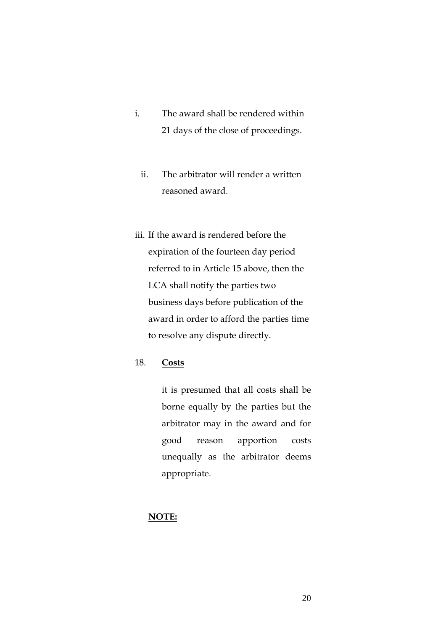- i. The award shall be rendered within 21 days of the close of proceedings.
	- ii. The arbitrator will render a written reasoned award.
- iii. If the award is rendered before the expiration of the fourteen day period referred to in Article 15 above, then the LCA shall notify the parties two business days before publication of the award in order to afford the parties time to resolve any dispute directly.

#### 18. **Costs**

it is presumed that all costs shall be borne equally by the parties but the arbitrator may in the award and for good reason apportion costs unequally as the arbitrator deems appropriate.

#### **NOTE:**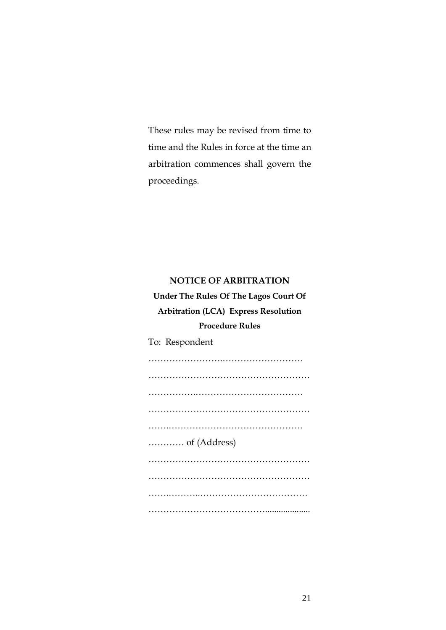These rules may be revised from time to time and the Rules in force at the time an arbitration commences shall govern the proceedings.

#### **NOTICE OF ARBITRATION**

**Under The Rules Of The Lagos Court Of Arbitration (LCA) Express Resolution Procedure Rules**

To: Respondent …………………….……………………… ……………………………………………… …………….……………………………… ……………………………………………… …….……………………………………… ………… of (Address) ……………………………………………… …………………………………………………………… …….………..……………………………… …………………………………....................

21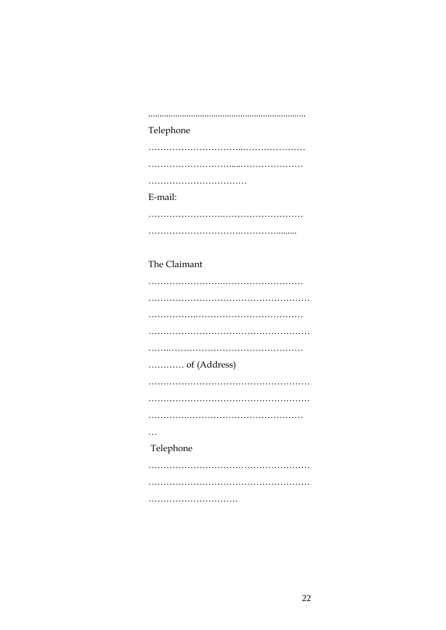# Telephone E-mail:

# The Claimant ............. of (Address)  $\cdots$ Telephone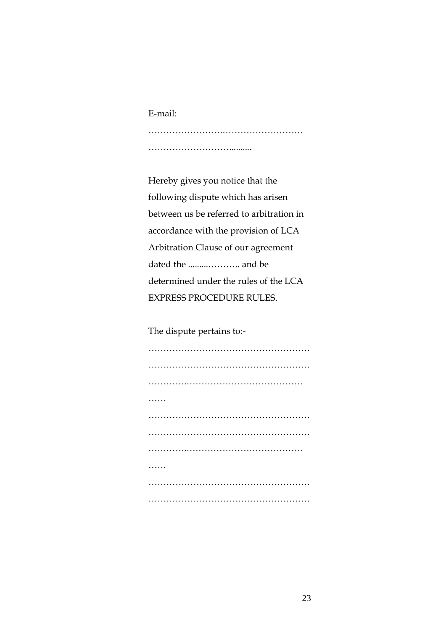E-mail:

…………………….……………………… ………………………..........

Hereby gives you notice that the following dispute which has arisen between us be referred to arbitration in accordance with the provision of LCA Arbitration Clause of our agreement dated the .........……….. and be determined under the rules of the LCA EXPRESS PROCEDURE RULES.

The dispute pertains to:- ……………………………………………… ……………………………………………… ………….………………………………… …… ……………………………………………… ……………………………………………… ………….………………………………… …… ……………………………………………… ………………………………………………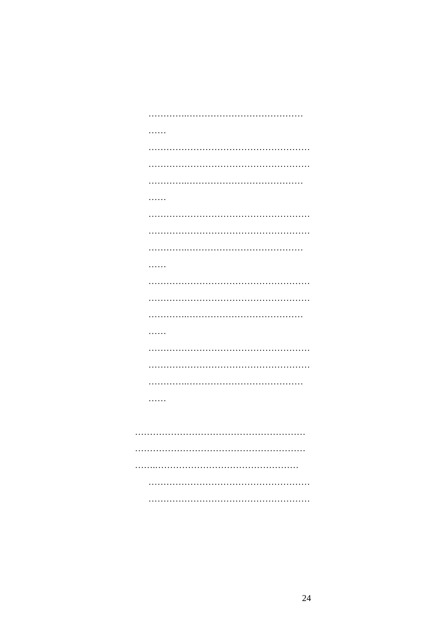$\ldots \ldots$  $\ldots \ldots$  $\ldots$  $\ldots$  . . . . . . .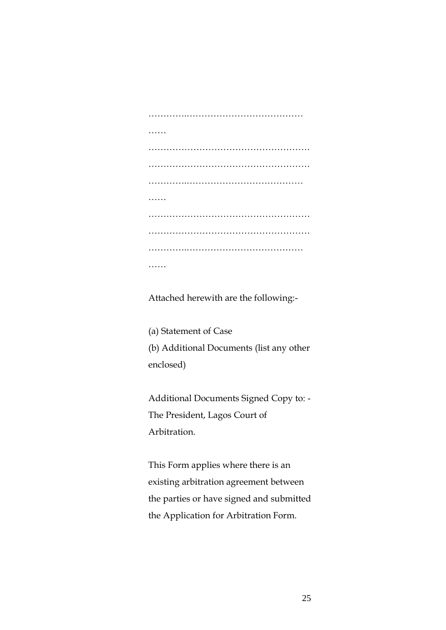………………………………………………………… …… ……………………………………………… ……………………………………………… ………….………………………………… …… …………………………………………………………… ………………………………………………………… ………….………………………………… ……

Attached herewith are the following:-

(a) Statement of Case (b) Additional Documents (list any other enclosed)

Additional Documents Signed Copy to: - The President, Lagos Court of Arbitration.

This Form applies where there is an existing arbitration agreement between the parties or have signed and submitted the Application for Arbitration Form.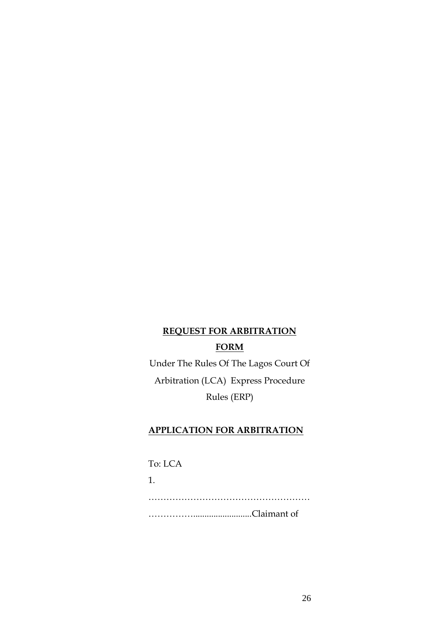# **REQUEST FOR ARBITRATION FORM**

Under The Rules Of The Lagos Court Of Arbitration (LCA) Express Procedure Rules (ERP)

# **APPLICATION FOR ARBITRATION**

To: LCA 1. ……………………………………………… ……………..........................Claimant of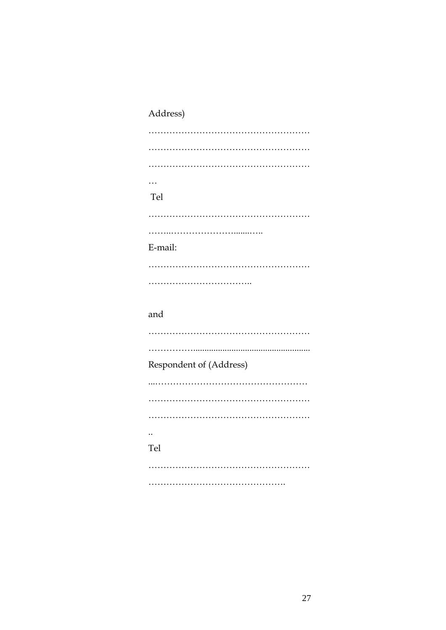# Address)

| .       |  |
|---------|--|
|         |  |
|         |  |
|         |  |
| Tel     |  |
|         |  |
|         |  |
| E-mail: |  |
|         |  |
|         |  |

# and

| Respondent of (Address) |
|-------------------------|
|                         |
|                         |
|                         |
|                         |
| Tel                     |
|                         |
|                         |
|                         |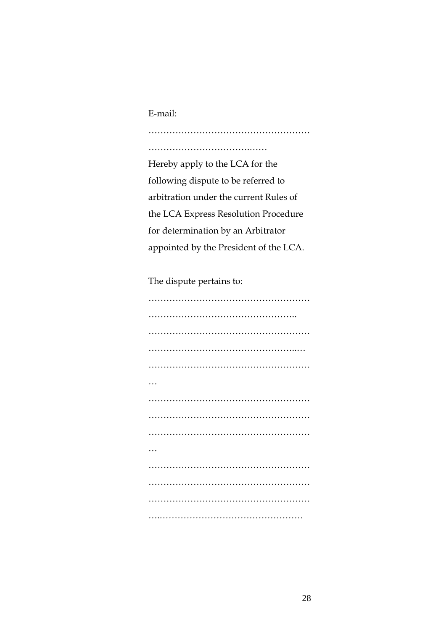#### E-mail:

……………………………………………… …………………………….……

Hereby apply to the LCA for the following dispute to be referred to arbitration under the current Rules of the LCA Express Resolution Procedure for determination by an Arbitrator appointed by the President of the LCA.

The dispute pertains to: ……………………………………………… …………………………………………………………… ……………………………………………… …………………………………………..… ……………………………………………… … ……………………………………………… ……………………………………………… ……………………………………………… … ……………………………………………… ……………………………………………… ……………………………………………… ……………………………………………………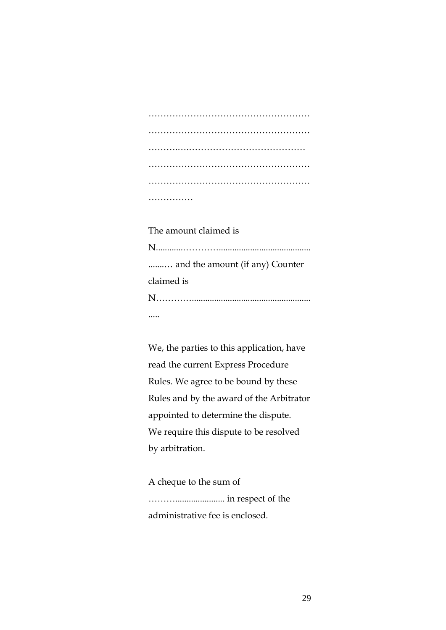|  |  |  |  |  |  |  |  |  |  |  |  |  |  |  |  |  |  |  |  |  |  |  |  |  |  |  |  | and a complete the contract of the complete the complete the complete the complete the complete the complete t |  |  |
|--|--|--|--|--|--|--|--|--|--|--|--|--|--|--|--|--|--|--|--|--|--|--|--|--|--|--|--|----------------------------------------------------------------------------------------------------------------|--|--|
|  |  |  |  |  |  |  |  |  |  |  |  |  |  |  |  |  |  |  |  |  |  |  |  |  |  |  |  |                                                                                                                |  |  |
|  |  |  |  |  |  |  |  |  |  |  |  |  |  |  |  |  |  |  |  |  |  |  |  |  |  |  |  |                                                                                                                |  |  |
|  |  |  |  |  |  |  |  |  |  |  |  |  |  |  |  |  |  |  |  |  |  |  |  |  |  |  |  |                                                                                                                |  |  |

| The amount claimed is           |
|---------------------------------|
|                                 |
| and the amount (if any) Counter |
| claimed is                      |
|                                 |
|                                 |

We, the parties to this application, have read the current Express Procedure Rules. We agree to be bound by these Rules and by the award of the Arbitrator appointed to determine the dispute. We require this dispute to be resolved by arbitration.

A cheque to the sum of ………...................... in respect of the administrative fee is enclosed.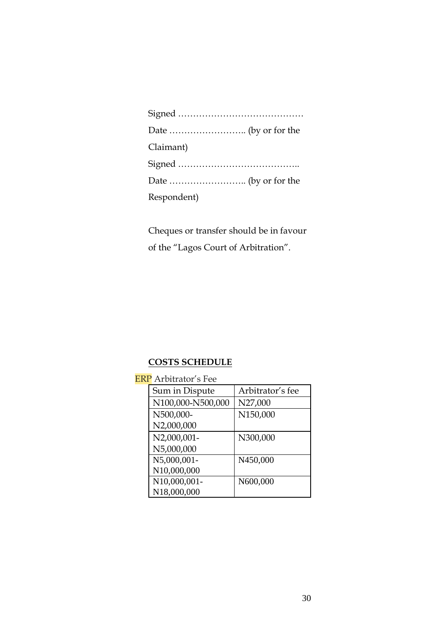| Claimant)   |
|-------------|
|             |
|             |
| Respondent) |

Cheques or transfer should be in favour of the "Lagos Court of Arbitration".

# **COSTS SCHEDULE**

# ERP Arbitrator's Fee

| Sum in Dispute    | Arbitrator's fee |
|-------------------|------------------|
| N100,000-N500,000 | N27,000          |
| N500,000-         | N150,000         |
| N2,000,000        |                  |
| N2,000,001-       | N300,000         |
| N5,000,000        |                  |
| N5,000,001-       | N450,000         |
| N10,000,000       |                  |
| N10,000,001-      | N600,000         |
| N18,000,000       |                  |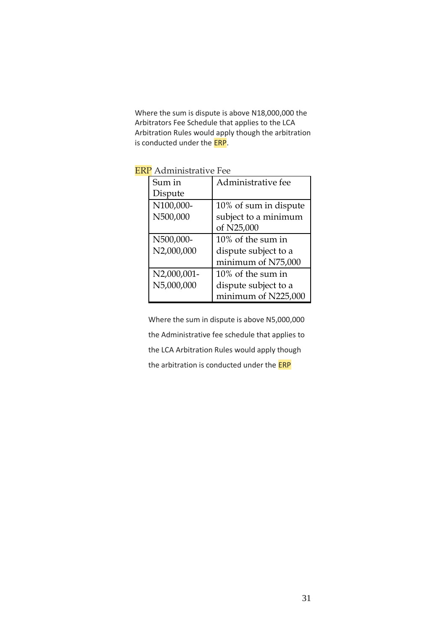Where the sum is dispute is above N18,000,000 the Arbitrators Fee Schedule that applies to the LCA Arbitration Rules would apply though the arbitration is conducted under the ERP.

ERP Administrative Fee

| Sum in      | Administrative fee    |
|-------------|-----------------------|
| Dispute     |                       |
| N100,000-   | 10% of sum in dispute |
| N500,000    | subject to a minimum  |
|             | of N25,000            |
| N500,000-   | 10% of the sum in     |
| N2,000,000  | dispute subject to a  |
|             | minimum of N75,000    |
| N2,000,001- | 10% of the sum in     |
| N5,000,000  | dispute subject to a  |
|             | minimum of N225,000   |

Where the sum in dispute is above N5,000,000 the Administrative fee schedule that applies to the LCA Arbitration Rules would apply though the arbitration is conducted under the ERP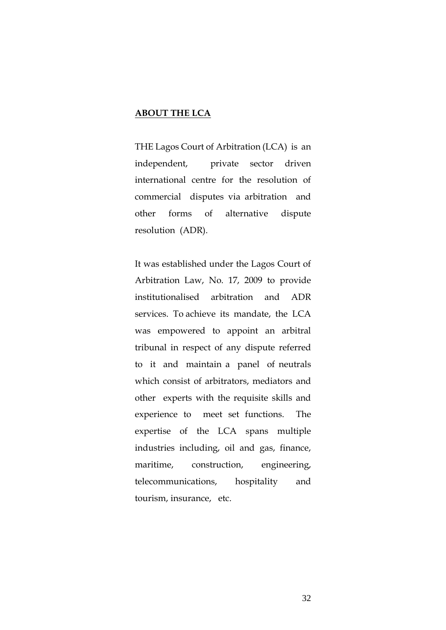#### **ABOUT THE LCA**

THE Lagos Court of Arbitration (LCA) is an independent, private sector driven international centre for the resolution of commercial disputes via arbitration and other forms of alternative dispute resolution (ADR).

It was established under the Lagos Court of Arbitration Law, No. 17, 2009 to provide institutionalised arbitration and ADR services. To achieve its mandate, the LCA was empowered to appoint an arbitral tribunal in respect of any dispute referred to it and maintain a panel of neutrals which consist of arbitrators, mediators and other experts with the requisite skills and experience to meet set functions. The expertise of the LCA spans multiple industries including, oil and gas, finance, maritime, construction, engineering, telecommunications, hospitality and tourism, insurance, etc.

32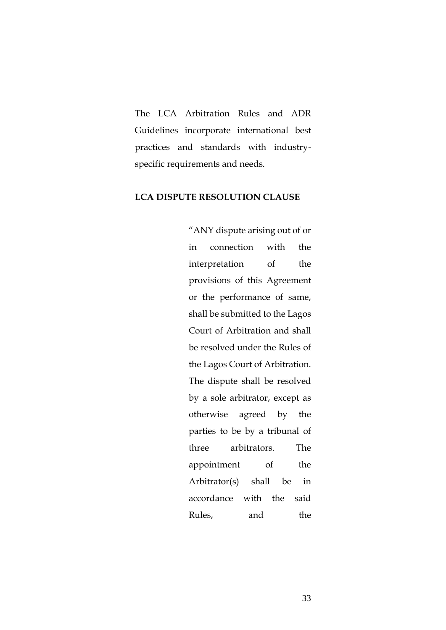The LCA Arbitration Rules and ADR Guidelines incorporate international best practices and standards with industryspecific requirements and needs.

#### **LCA DISPUTE RESOLUTION CLAUSE**

"ANY dispute arising out of or in connection with the interpretation of the provisions of this Agreement or the performance of same, shall be submitted to the Lagos Court of Arbitration and shall be resolved under the Rules of the Lagos Court of Arbitration. The dispute shall be resolved by a sole arbitrator, except as otherwise agreed by the parties to be by a tribunal of three arbitrators. The appointment of the Arbitrator(s) shall be in accordance with the said Rules, and the